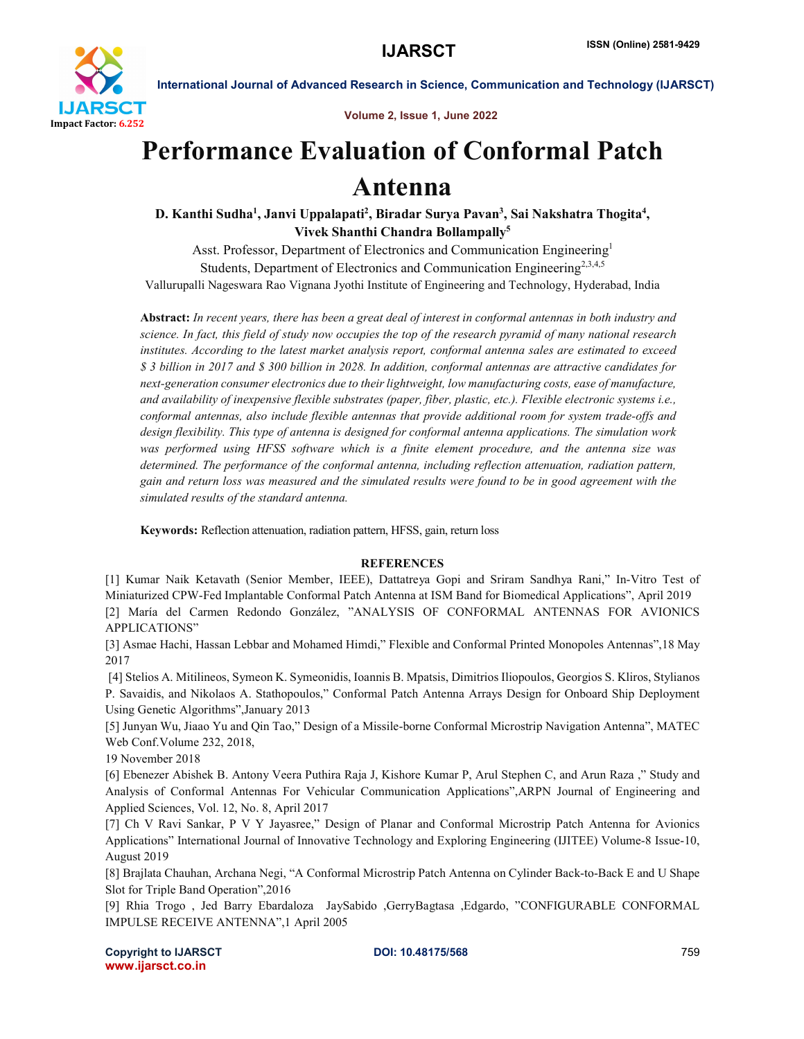

International Journal of Advanced Research in Science, Communication and Technology (IJARSCT)

Volume 2, Issue 1, June 2022

## Performance Evaluation of Conformal Patch Antenna

D. Kanthi Sudha<sup>1</sup>, Janvi Uppalapati<sup>2</sup>, Biradar Surya Pavan<sup>3</sup>, Sai Nakshatra Thogita<sup>4</sup>, Vivek Shanthi Chandra Bollampally5

Asst. Professor, Department of Electronics and Communication Engineering<sup>1</sup> Students, Department of Electronics and Communication Engineering<sup>2,3,4,5</sup> Vallurupalli Nageswara Rao Vignana Jyothi Institute of Engineering and Technology, Hyderabad, India

Abstract: *In recent years, there has been a great deal of interest in conformal antennas in both industry and science. In fact, this field of study now occupies the top of the research pyramid of many national research institutes. According to the latest market analysis report, conformal antenna sales are estimated to exceed \$ 3 billion in 2017 and \$ 300 billion in 2028. In addition, conformal antennas are attractive candidates for next-generation consumer electronics due to their lightweight, low manufacturing costs, ease of manufacture, and availability of inexpensive flexible substrates (paper, fiber, plastic, etc.). Flexible electronic systems i.e., conformal antennas, also include flexible antennas that provide additional room for system trade-offs and design flexibility. This type of antenna is designed for conformal antenna applications. The simulation work was performed using HFSS software which is a finite element procedure, and the antenna size was determined. The performance of the conformal antenna, including reflection attenuation, radiation pattern, gain and return loss was measured and the simulated results were found to be in good agreement with the simulated results of the standard antenna.*

Keywords: Reflection attenuation, radiation pattern, HFSS, gain, return loss

## **REFERENCES**

[1] Kumar Naik Ketavath (Senior Member, IEEE), Dattatreya Gopi and Sriram Sandhya Rani," In-Vitro Test of Miniaturized CPW-Fed Implantable Conformal Patch Antenna at ISM Band for Biomedical Applications", April 2019 [2] María del Carmen Redondo González, "ANALYSIS OF CONFORMAL ANTENNAS FOR AVIONICS APPLICATIONS"

[3] Asmae Hachi, Hassan Lebbar and Mohamed Himdi," Flexible and Conformal Printed Monopoles Antennas",18 May 2017

[4] Stelios A. Mitilineos, Symeon K. Symeonidis, Ioannis B. Mpatsis, Dimitrios Iliopoulos, Georgios S. Kliros, Stylianos P. Savaidis, and Nikolaos A. Stathopoulos," Conformal Patch Antenna Arrays Design for Onboard Ship Deployment Using Genetic Algorithms",January 2013

[5] Junyan Wu, Jiaao Yu and Qin Tao," Design of a Missile-borne Conformal Microstrip Navigation Antenna", MATEC Web Conf.Volume 232, 2018,

19 November 2018

[6] Ebenezer Abishek B. Antony Veera Puthira Raja J, Kishore Kumar P, Arul Stephen C, and Arun Raza ," Study and Analysis of Conformal Antennas For Vehicular Communication Applications",ARPN Journal of Engineering and Applied Sciences, Vol. 12, No. 8, April 2017

[7] Ch V Ravi Sankar, P V Y Jayasree," Design of Planar and Conformal Microstrip Patch Antenna for Avionics Applications" International Journal of Innovative Technology and Exploring Engineering (IJITEE) Volume-8 Issue-10, August 2019

[8] Brajlata Chauhan, Archana Negi, "A Conformal Microstrip Patch Antenna on Cylinder Back-to-Back E and U Shape Slot for Triple Band Operation",2016

[9] Rhia Trogo , Jed Barry Ebardaloza JaySabido ,GerryBagtasa ,Edgardo, "CONFIGURABLE CONFORMAL IMPULSE RECEIVE ANTENNA",1 April 2005